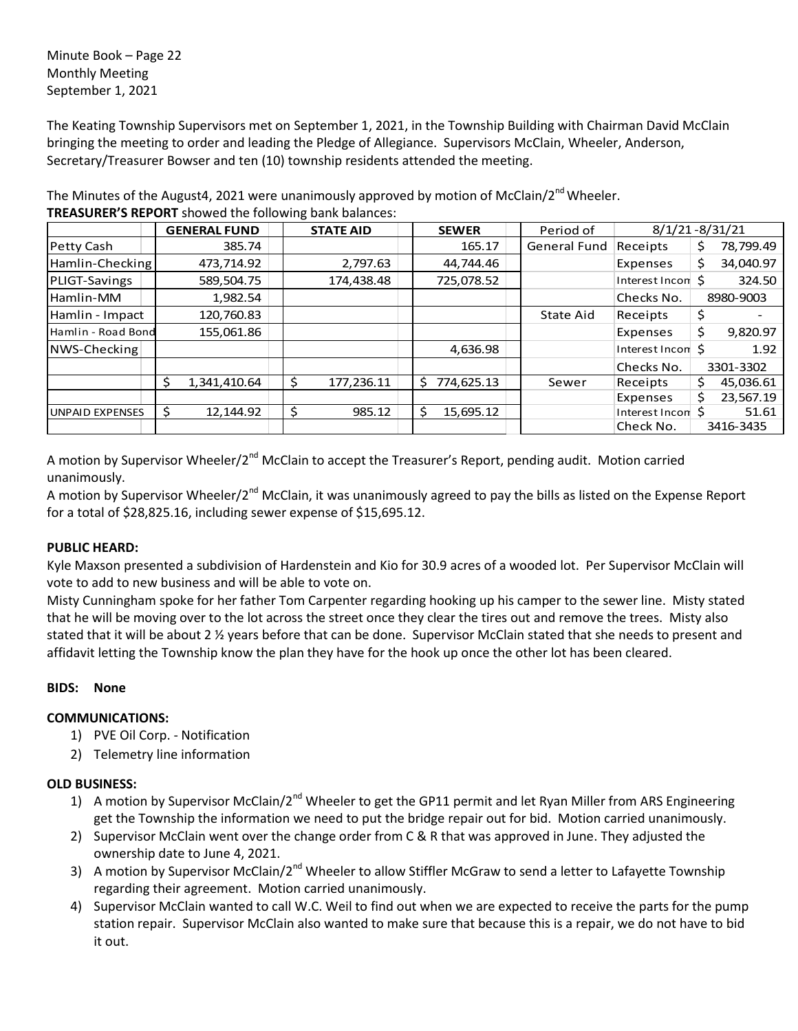Minute Book – Page 22 Monthly Meeting September 1, 2021

The Keating Township Supervisors met on September 1, 2021, in the Township Building with Chairman David McClain bringing the meeting to order and leading the Pledge of Allegiance. Supervisors McClain, Wheeler, Anderson, Secretary/Treasurer Bowser and ten (10) township residents attended the meeting.

**GENERAL FUND** | **STATE AID** | **SEWER** | Period of Petty Cash | | 385.74 | | | 165.17 | General Fund Receipts | \$ 78,799.49 Hamlin-Checking 473,714.92 2,797.63 44,744.46 Hamlin-Checking 34,040.97 PLIGT-Savings | 589,504.75 | 174,438.48 | 725,078.52 | Interest Incomet S 324.50 Hamlin-MM 1,982.54 Checks No. 8980-9003 Hamlin - Impact 120,760.83 State Aid Receipts \$ - Hamlin - Road Bond 155,061.86 | Expenses \$ 9,820.97 NWS-Checking 4,636.98 Interest Income\$ 1.92 Checks No. 3301-3302  $\binom{341,410.64}{\sqrt{5}}$  177,236.11  $\binom{5}{774,625.13}$  Sewer Receipts  $\binom{6}{7}$  45,036.61 Expenses  $\frac{1}{2}$  23,567.19 UNPAID EXPENSES  $\begin{array}{|c|c|c|c|c|}\n\small\textsf{S}}\n\small\textsf{S}}\n\small\textsf{S}}\n\small\textsf{S}}\n\small\textsf{S}}\n\small\textsf{S}}\n\small\textsf{S}}\n\small\textsf{S}}\n\small\textsf{S}}\n\small\textsf{S}}\n\small\textsf{S}}\n\small\textsf{S}}\n\small\textsf{S}}\n\small\textsf{S}}\n\small\textsf{S}}\n\small\textsf{S}}\n\small\textsf{S}}\n\small\textsf{S}}\n\small\textsf{$ Check No. 3416-3435 8/1/21 -8/31/21

The Minutes of the August4, 2021 were unanimously approved by motion of McClain/2<sup>nd</sup> Wheeler. **TREASURER'S REPORT** showed the following bank balances:

A motion by Supervisor Wheeler/2<sup>nd</sup> McClain to accept the Treasurer's Report, pending audit. Motion carried unanimously.

A motion by Supervisor Wheeler/2<sup>nd</sup> McClain, it was unanimously agreed to pay the bills as listed on the Expense Report for a total of \$28,825.16, including sewer expense of \$15,695.12.

# **PUBLIC HEARD:**

Kyle Maxson presented a subdivision of Hardenstein and Kio for 30.9 acres of a wooded lot. Per Supervisor McClain will vote to add to new business and will be able to vote on.

Misty Cunningham spoke for her father Tom Carpenter regarding hooking up his camper to the sewer line. Misty stated that he will be moving over to the lot across the street once they clear the tires out and remove the trees. Misty also stated that it will be about 2 ½ years before that can be done. Supervisor McClain stated that she needs to present and affidavit letting the Township know the plan they have for the hook up once the other lot has been cleared.

## **BIDS: None**

## **COMMUNICATIONS:**

- 1) PVE Oil Corp. Notification
- 2) Telemetry line information

# **OLD BUSINESS:**

- 1) A motion by Supervisor McClain/2<sup>nd</sup> Wheeler to get the GP11 permit and let Ryan Miller from ARS Engineering get the Township the information we need to put the bridge repair out for bid. Motion carried unanimously.
- 2) Supervisor McClain went over the change order from C & R that was approved in June. They adjusted the ownership date to June 4, 2021.
- 3) A motion by Supervisor McClain/2<sup>nd</sup> Wheeler to allow Stiffler McGraw to send a letter to Lafayette Township regarding their agreement. Motion carried unanimously.
- 4) Supervisor McClain wanted to call W.C. Weil to find out when we are expected to receive the parts for the pump station repair. Supervisor McClain also wanted to make sure that because this is a repair, we do not have to bid it out.